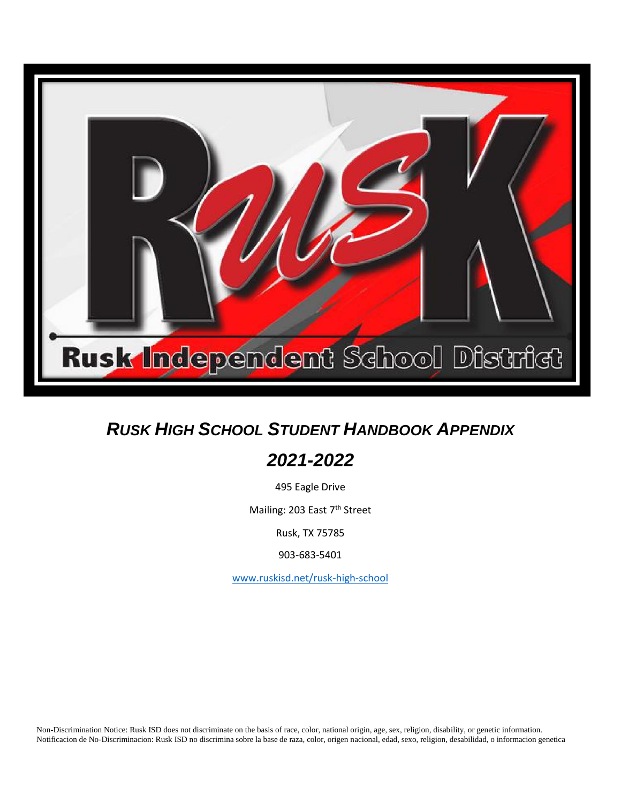

## *RUSK HIGH SCHOOL STUDENT HANDBOOK APPENDIX*

## *2021-2022*

495 Eagle Drive

Mailing: 203 East 7<sup>th</sup> Street

Rusk, TX 75785

903-683-5401

[www.ruskisd.net/rusk-high-school](http://www.ruskisd.net/)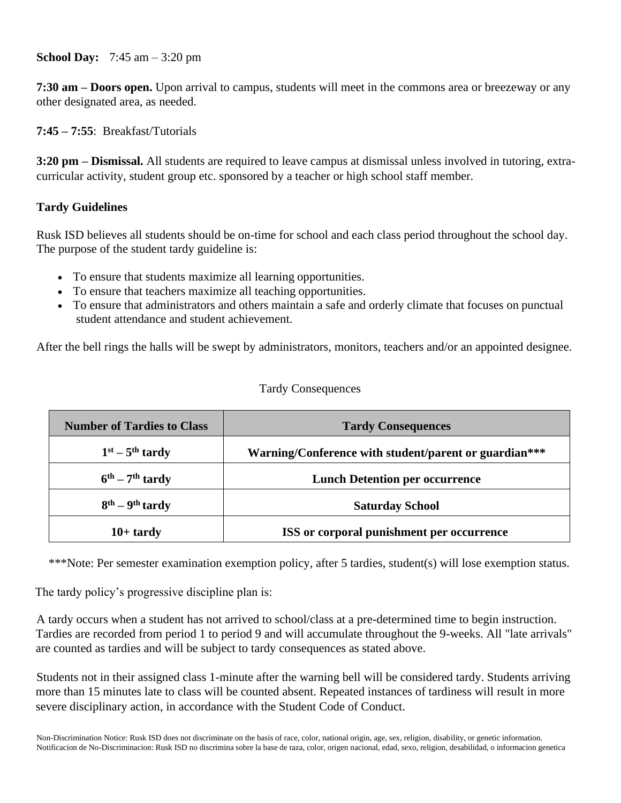**School Day:** 7:45 am – 3:20 pm

**7:30 am – Doors open.** Upon arrival to campus, students will meet in the commons area or breezeway or any other designated area, as needed.

**7:45 – 7:55**: Breakfast/Tutorials

**3:20 pm – Dismissal.** All students are required to leave campus at dismissal unless involved in tutoring, extracurricular activity, student group etc. sponsored by a teacher or high school staff member.

## **Tardy Guidelines**

Rusk ISD believes all students should be on-time for school and each class period throughout the school day. The purpose of the student tardy guideline is:

- To ensure that students maximize all learning opportunities.
- To ensure that teachers maximize all teaching opportunities.
- To ensure that administrators and others maintain a safe and orderly climate that focuses on punctual student attendance and student achievement.

After the bell rings the halls will be swept by administrators, monitors, teachers and/or an appointed designee.

## Tardy Consequences

| <b>Number of Tardies to Class</b>     | <b>Tardy Consequences</b>                             |
|---------------------------------------|-------------------------------------------------------|
| $1st - 5th$ tardy                     | Warning/Conference with student/parent or guardian*** |
| $6^{\text{th}} - 7^{\text{th}}$ tardy | <b>Lunch Detention per occurrence</b>                 |
| $8th - 9th$ tardy                     | <b>Saturday School</b>                                |
| $10+$ tardy                           | ISS or corporal punishment per occurrence             |

\*\*\*Note: Per semester examination exemption policy, after 5 tardies, student(s) will lose exemption status.

The tardy policy's progressive discipline plan is:

A tardy occurs when a student has not arrived to school/class at a pre-determined time to begin instruction. Tardies are recorded from period 1 to period 9 and will accumulate throughout the 9-weeks. All "late arrivals" are counted as tardies and will be subject to tardy consequences as stated above.

Students not in their assigned class 1-minute after the warning bell will be considered tardy. Students arriving more than 15 minutes late to class will be counted absent. Repeated instances of tardiness will result in more severe disciplinary action, in accordance with the Student Code of Conduct.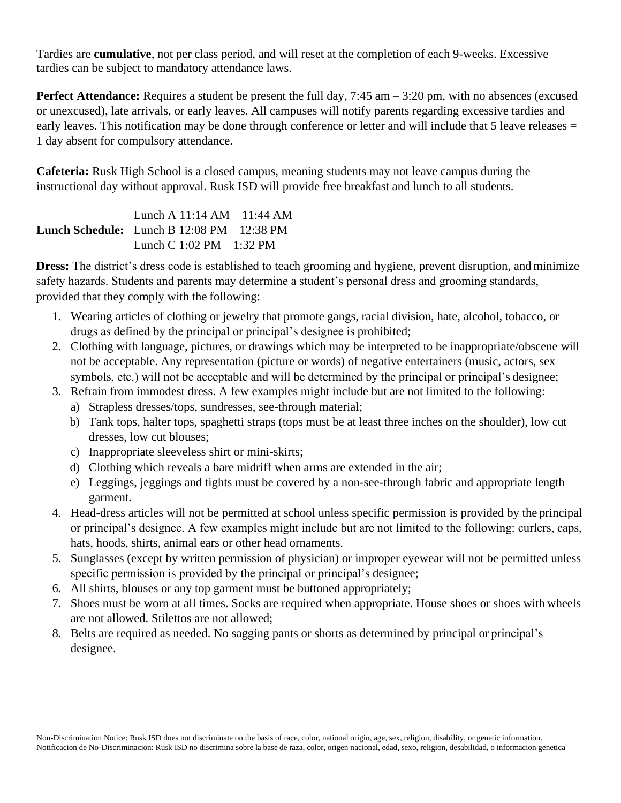Tardies are **cumulative**, not per class period, and will reset at the completion of each 9-weeks. Excessive tardies can be subject to mandatory attendance laws.

**Perfect Attendance:** Requires a student be present the full day, 7:45 am – 3:20 pm, with no absences (excused or unexcused), late arrivals, or early leaves. All campuses will notify parents regarding excessive tardies and early leaves. This notification may be done through conference or letter and will include that 5 leave releases = 1 day absent for compulsory attendance.

**Cafeteria:** Rusk High School is a closed campus, meaning students may not leave campus during the instructional day without approval. Rusk ISD will provide free breakfast and lunch to all students.

**Lunch Schedule:** Lunch B 12:08 PM – 12:38 PM Lunch A 11:14 AM – 11:44 AM Lunch C 1:02 PM – 1:32 PM

**Dress:** The district's dress code is established to teach grooming and hygiene, prevent disruption, and minimize safety hazards. Students and parents may determine a student's personal dress and grooming standards, provided that they comply with the following:

- 1. Wearing articles of clothing or jewelry that promote gangs, racial division, hate, alcohol, tobacco, or drugs as defined by the principal or principal's designee is prohibited;
- 2. Clothing with language, pictures, or drawings which may be interpreted to be inappropriate/obscene will not be acceptable. Any representation (picture or words) of negative entertainers (music, actors, sex symbols, etc.) will not be acceptable and will be determined by the principal or principal's designee;
- 3. Refrain from immodest dress. A few examples might include but are not limited to the following:
	- a) Strapless dresses/tops, sundresses, see-through material;
	- b) Tank tops, halter tops, spaghetti straps (tops must be at least three inches on the shoulder), low cut dresses, low cut blouses;
	- c) Inappropriate sleeveless shirt or mini-skirts;
	- d) Clothing which reveals a bare midriff when arms are extended in the air;
	- e) Leggings, jeggings and tights must be covered by a non-see-through fabric and appropriate length garment.
- 4. Head-dress articles will not be permitted at school unless specific permission is provided by the principal or principal's designee. A few examples might include but are not limited to the following: curlers, caps, hats, hoods, shirts, animal ears or other head ornaments.
- 5. Sunglasses (except by written permission of physician) or improper eyewear will not be permitted unless specific permission is provided by the principal or principal's designee;
- 6. All shirts, blouses or any top garment must be buttoned appropriately;
- 7. Shoes must be worn at all times. Socks are required when appropriate. House shoes or shoes with wheels are not allowed. Stilettos are not allowed;
- 8. Belts are required as needed. No sagging pants or shorts as determined by principal or principal's designee.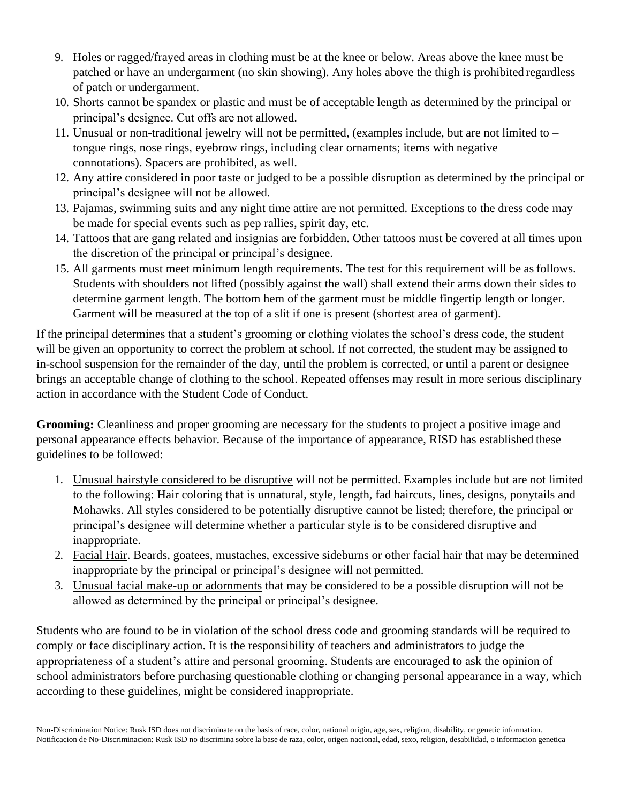- 9. Holes or ragged/frayed areas in clothing must be at the knee or below. Areas above the knee must be patched or have an undergarment (no skin showing). Any holes above the thigh is prohibited regardless of patch or undergarment.
- 10. Shorts cannot be spandex or plastic and must be of acceptable length as determined by the principal or principal's designee. Cut offs are not allowed.
- 11. Unusual or non-traditional jewelry will not be permitted, (examples include, but are not limited to tongue rings, nose rings, eyebrow rings, including clear ornaments; items with negative connotations). Spacers are prohibited, as well.
- 12. Any attire considered in poor taste or judged to be a possible disruption as determined by the principal or principal's designee will not be allowed.
- 13. Pajamas, swimming suits and any night time attire are not permitted. Exceptions to the dress code may be made for special events such as pep rallies, spirit day, etc.
- 14. Tattoos that are gang related and insignias are forbidden. Other tattoos must be covered at all times upon the discretion of the principal or principal's designee.
- 15. All garments must meet minimum length requirements. The test for this requirement will be asfollows. Students with shoulders not lifted (possibly against the wall) shall extend their arms down their sides to determine garment length. The bottom hem of the garment must be middle fingertip length or longer. Garment will be measured at the top of a slit if one is present (shortest area of garment).

If the principal determines that a student's grooming or clothing violates the school's dress code, the student will be given an opportunity to correct the problem at school. If not corrected, the student may be assigned to in-school suspension for the remainder of the day, until the problem is corrected, or until a parent or designee brings an acceptable change of clothing to the school. Repeated offenses may result in more serious disciplinary action in accordance with the Student Code of Conduct.

**Grooming:** Cleanliness and proper grooming are necessary for the students to project a positive image and personal appearance effects behavior. Because of the importance of appearance, RISD has established these guidelines to be followed:

- 1. Unusual hairstyle considered to be disruptive will not be permitted. Examples include but are not limited to the following: Hair coloring that is unnatural, style, length, fad haircuts, lines, designs, ponytails and Mohawks. All styles considered to be potentially disruptive cannot be listed; therefore, the principal or principal's designee will determine whether a particular style is to be considered disruptive and inappropriate.
- 2. Facial Hair. Beards, goatees, mustaches, excessive sideburns or other facial hair that may be determined inappropriate by the principal or principal's designee will not permitted.
- 3. Unusual facial make-up or adornments that may be considered to be a possible disruption will not be allowed as determined by the principal or principal's designee.

Students who are found to be in violation of the school dress code and grooming standards will be required to comply or face disciplinary action. It is the responsibility of teachers and administrators to judge the appropriateness of a student's attire and personal grooming. Students are encouraged to ask the opinion of school administrators before purchasing questionable clothing or changing personal appearance in a way, which according to these guidelines, might be considered inappropriate.